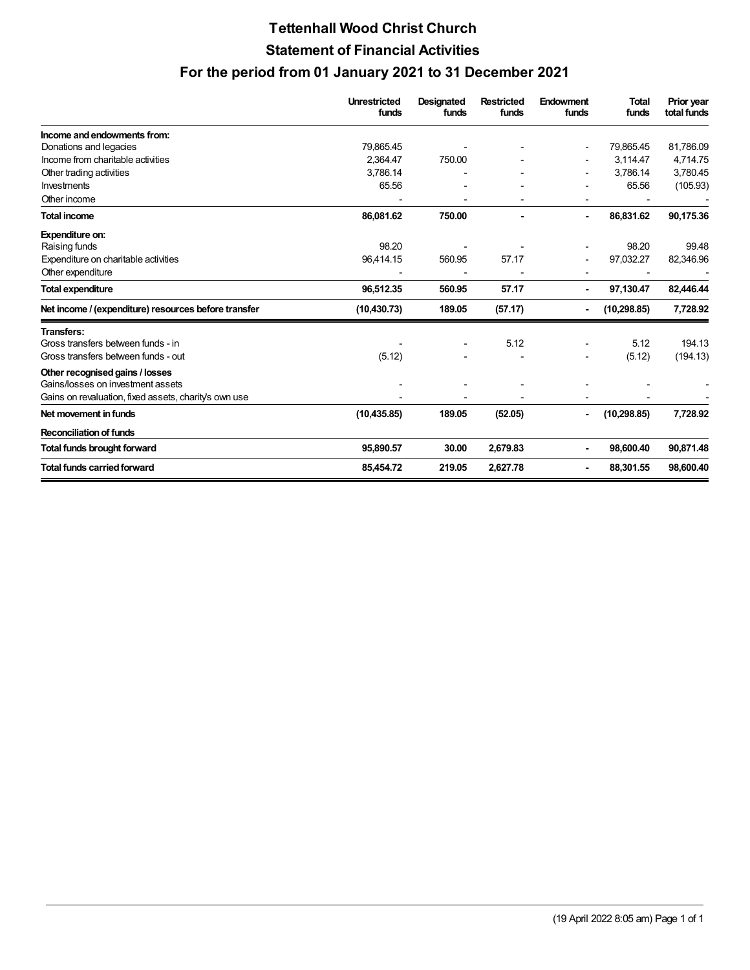## **Tettenhall Wood Christ Church Statement of Financial Activities For the period from 01 January 2021 to 31 December 2021**

|                                                       | <b>Unrestricted</b><br>funds | <b>Designated</b><br>funds | <b>Restricted</b><br>funds | Endowment<br>funds | <b>Total</b><br>funds | Prior year<br>total funds |
|-------------------------------------------------------|------------------------------|----------------------------|----------------------------|--------------------|-----------------------|---------------------------|
| Income and endowments from:                           |                              |                            |                            |                    |                       |                           |
| Donations and legacies                                | 79.865.45                    |                            |                            |                    | 79,865.45             | 81,786.09                 |
| Income from charitable activities                     | 2,364.47                     | 750.00                     |                            |                    | 3,114.47              | 4,714.75                  |
| Other trading activities                              | 3,786.14                     |                            |                            |                    | 3,786.14              | 3,780.45                  |
| Investments                                           | 65.56                        |                            |                            |                    | 65.56                 | (105.93)                  |
| Other income                                          |                              |                            |                            |                    |                       |                           |
| <b>Total income</b>                                   | 86,081.62                    | 750.00                     |                            | $\blacksquare$     | 86,831.62             | 90,175.36                 |
| Expenditure on:                                       |                              |                            |                            |                    |                       |                           |
| Raising funds                                         | 98.20                        |                            |                            |                    | 98.20                 | 99.48                     |
| Expenditure on charitable activities                  | 96,414.15                    | 560.95                     | 57.17                      |                    | 97,032.27             | 82,346.96                 |
| Other expenditure                                     |                              |                            |                            |                    |                       |                           |
| <b>Total expenditure</b>                              | 96,512.35                    | 560.95                     | 57.17                      |                    | 97,130.47             | 82,446.44                 |
| Net income / (expenditure) resources before transfer  | (10, 430.73)                 | 189.05                     | (57.17)                    |                    | (10, 298.85)          | 7,728.92                  |
| <b>Transfers:</b>                                     |                              |                            |                            |                    |                       |                           |
| Gross transfers between funds - in                    |                              |                            | 5.12                       |                    | 5.12                  | 194.13                    |
| Gross transfers between funds - out                   | (5.12)                       |                            |                            |                    | (5.12)                | (194.13)                  |
| Other recognised gains / losses                       |                              |                            |                            |                    |                       |                           |
| Gains/losses on investment assets                     |                              |                            |                            |                    |                       |                           |
| Gains on revaluation, fixed assets, charity's own use |                              |                            |                            |                    |                       |                           |
| Net movement in funds                                 | (10, 435.85)                 | 189.05                     | (52.05)                    |                    | (10, 298.85)          | 7,728.92                  |
| <b>Reconciliation of funds</b>                        |                              |                            |                            |                    |                       |                           |
| <b>Total funds brought forward</b>                    | 95,890.57                    | 30.00                      | 2,679.83                   |                    | 98,600.40             | 90,871.48                 |
| <b>Total funds carried forward</b>                    | 85,454.72                    | 219.05                     | 2,627.78                   |                    | 88,301.55             | 98,600.40                 |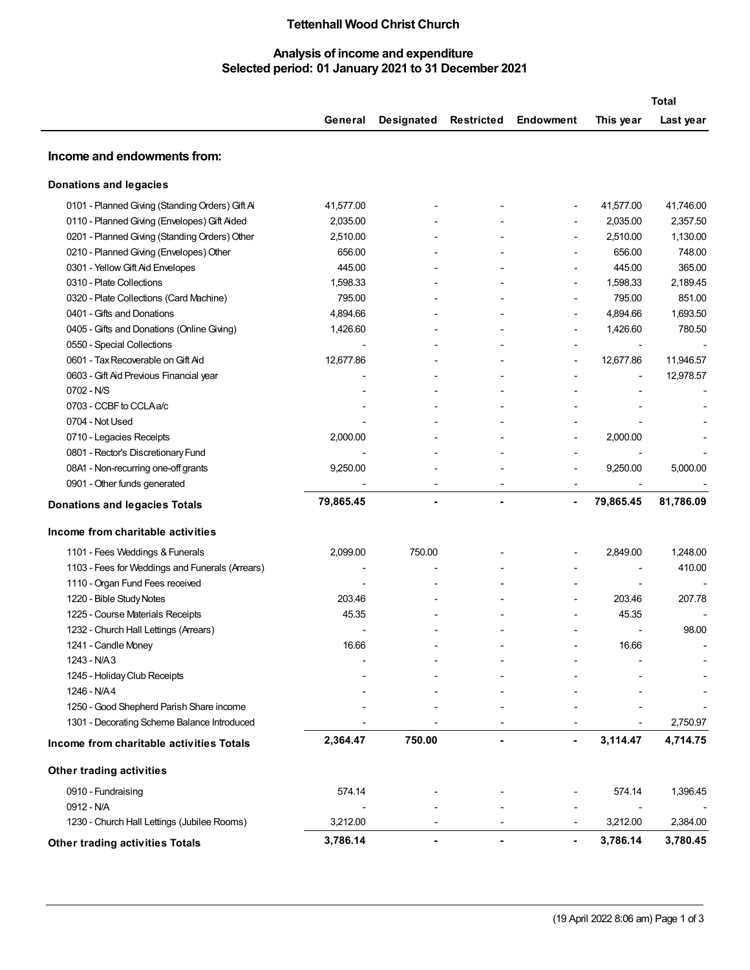## **Tettenhall Wood Christ Church**

## **Analysis of income and expenditure Selected period: 01 January 2021 to 31 December 2021**

| Designated<br>Restricted<br>Endowment<br>This year<br>General<br>Last year<br>Income and endowments from:<br><b>Donations and legacies</b><br>0101 - Planned Giving (Standing Orders) Gift Ai<br>41,577.00<br>41,577.00<br>41,746.00<br>Ĭ.<br>2,357.50<br>0110 - Planned Giving (Envelopes) Gift Aided<br>2,035.00<br>2,035.00<br>2,510.00<br>1,130.00<br>0201 - Planned Giving (Standing Orders) Other<br>2,510.00<br>656.00<br>0210 - Planned Giving (Envelopes) Other<br>656.00<br>748.00<br>365.00<br>0301 - Yellow Gift Aid Envelopes<br>445.00<br>445.00<br>$\overline{\phantom{a}}$<br>0310 - Plate Collections<br>1,598.33<br>1,598.33<br>2,189.45<br>$\blacksquare$<br>851.00<br>0320 - Plate Collections (Card Machine)<br>795.00<br>795.00<br>0401 - Gifts and Donations<br>4,894.66<br>4,894.66<br>1,693.50<br>$\overline{\phantom{a}}$<br>0405 - Gifts and Donations (Online Giving)<br>1,426.60<br>1,426.60<br>780.50<br>۰<br>0550 - Special Collections<br>$\overline{\phantom{a}}$<br>$\overline{\phantom{a}}$<br>12,677.86<br>0601 - Tax Recoverable on Gift Aid<br>12,677.86<br>11,946.57<br>$\overline{\phantom{0}}$<br>12,978.57<br>0603 - Gift Aid Previous Financial year<br>$\overline{\phantom{m}}$<br>0702 - N/S<br>0703 - CCBF to CCLAa/c<br>0704 - Not Used<br>0710 - Legacies Receipts<br>2,000.00<br>2,000.00<br>$\blacksquare$<br>0801 - Rector's Discretionary Fund<br>08A1 - Non-recurring one-off grants<br>9,250.00<br>9,250.00<br>5,000.00<br>0901 - Other funds generated<br>79,865.45<br>79,865.45<br>81,786.09<br>$\blacksquare$<br>۰<br>$\blacksquare$<br><b>Donations and legacies Totals</b><br>Income from charitable activities<br>1101 - Fees Weddings & Funerals<br>2,099.00<br>750.00<br>2,849.00<br>1,248.00<br>1103 - Fees for Weddings and Funerals (Arrears)<br>410.00<br>1110 - Organ Fund Fees received<br>1220 - Bible Study Notes<br>203.46<br>203.46<br>207.78<br>1225 - Course Materials Receipts<br>45.35<br>45.35<br>1232 - Church Hall Lettings (Arrears)<br>98.00<br>1241 - Candle Money<br>16.66<br>16.66<br>1243 - N/A3<br>1245 - Holiday Club Receipts<br>1246 - N/A4<br>1250 - Good Shepherd Parish Share income<br>1301 - Decorating Scheme Balance Introduced<br>2,364.47<br>750.00<br>3,114.47<br>Income from charitable activities Totals<br><b>Other trading activities</b><br>0910 - Fundraising<br>574.14<br>574.14<br>0912 - N/A<br>$\overline{\phantom{a}}$<br>1230 - Church Hall Lettings (Jubilee Rooms)<br>3,212.00<br>3,212.00<br>$\overline{\phantom{a}}$ |                                        |          |  |                |          | <b>Total</b> |
|-----------------------------------------------------------------------------------------------------------------------------------------------------------------------------------------------------------------------------------------------------------------------------------------------------------------------------------------------------------------------------------------------------------------------------------------------------------------------------------------------------------------------------------------------------------------------------------------------------------------------------------------------------------------------------------------------------------------------------------------------------------------------------------------------------------------------------------------------------------------------------------------------------------------------------------------------------------------------------------------------------------------------------------------------------------------------------------------------------------------------------------------------------------------------------------------------------------------------------------------------------------------------------------------------------------------------------------------------------------------------------------------------------------------------------------------------------------------------------------------------------------------------------------------------------------------------------------------------------------------------------------------------------------------------------------------------------------------------------------------------------------------------------------------------------------------------------------------------------------------------------------------------------------------------------------------------------------------------------------------------------------------------------------------------------------------------------------------------------------------------------------------------------------------------------------------------------------------------------------------------------------------------------------------------------------------------------------------------------------------------------------------------------------------------------------------------------------------------------------------------------------------------------------------|----------------------------------------|----------|--|----------------|----------|--------------|
|                                                                                                                                                                                                                                                                                                                                                                                                                                                                                                                                                                                                                                                                                                                                                                                                                                                                                                                                                                                                                                                                                                                                                                                                                                                                                                                                                                                                                                                                                                                                                                                                                                                                                                                                                                                                                                                                                                                                                                                                                                                                                                                                                                                                                                                                                                                                                                                                                                                                                                                                         |                                        |          |  |                |          |              |
|                                                                                                                                                                                                                                                                                                                                                                                                                                                                                                                                                                                                                                                                                                                                                                                                                                                                                                                                                                                                                                                                                                                                                                                                                                                                                                                                                                                                                                                                                                                                                                                                                                                                                                                                                                                                                                                                                                                                                                                                                                                                                                                                                                                                                                                                                                                                                                                                                                                                                                                                         |                                        |          |  |                |          |              |
|                                                                                                                                                                                                                                                                                                                                                                                                                                                                                                                                                                                                                                                                                                                                                                                                                                                                                                                                                                                                                                                                                                                                                                                                                                                                                                                                                                                                                                                                                                                                                                                                                                                                                                                                                                                                                                                                                                                                                                                                                                                                                                                                                                                                                                                                                                                                                                                                                                                                                                                                         |                                        |          |  |                |          |              |
|                                                                                                                                                                                                                                                                                                                                                                                                                                                                                                                                                                                                                                                                                                                                                                                                                                                                                                                                                                                                                                                                                                                                                                                                                                                                                                                                                                                                                                                                                                                                                                                                                                                                                                                                                                                                                                                                                                                                                                                                                                                                                                                                                                                                                                                                                                                                                                                                                                                                                                                                         |                                        |          |  |                |          |              |
|                                                                                                                                                                                                                                                                                                                                                                                                                                                                                                                                                                                                                                                                                                                                                                                                                                                                                                                                                                                                                                                                                                                                                                                                                                                                                                                                                                                                                                                                                                                                                                                                                                                                                                                                                                                                                                                                                                                                                                                                                                                                                                                                                                                                                                                                                                                                                                                                                                                                                                                                         |                                        |          |  |                |          |              |
|                                                                                                                                                                                                                                                                                                                                                                                                                                                                                                                                                                                                                                                                                                                                                                                                                                                                                                                                                                                                                                                                                                                                                                                                                                                                                                                                                                                                                                                                                                                                                                                                                                                                                                                                                                                                                                                                                                                                                                                                                                                                                                                                                                                                                                                                                                                                                                                                                                                                                                                                         |                                        |          |  |                |          |              |
|                                                                                                                                                                                                                                                                                                                                                                                                                                                                                                                                                                                                                                                                                                                                                                                                                                                                                                                                                                                                                                                                                                                                                                                                                                                                                                                                                                                                                                                                                                                                                                                                                                                                                                                                                                                                                                                                                                                                                                                                                                                                                                                                                                                                                                                                                                                                                                                                                                                                                                                                         |                                        |          |  |                |          |              |
| 1,396.45<br>2,384.00                                                                                                                                                                                                                                                                                                                                                                                                                                                                                                                                                                                                                                                                                                                                                                                                                                                                                                                                                                                                                                                                                                                                                                                                                                                                                                                                                                                                                                                                                                                                                                                                                                                                                                                                                                                                                                                                                                                                                                                                                                                                                                                                                                                                                                                                                                                                                                                                                                                                                                                    |                                        |          |  |                |          |              |
|                                                                                                                                                                                                                                                                                                                                                                                                                                                                                                                                                                                                                                                                                                                                                                                                                                                                                                                                                                                                                                                                                                                                                                                                                                                                                                                                                                                                                                                                                                                                                                                                                                                                                                                                                                                                                                                                                                                                                                                                                                                                                                                                                                                                                                                                                                                                                                                                                                                                                                                                         |                                        |          |  |                |          |              |
|                                                                                                                                                                                                                                                                                                                                                                                                                                                                                                                                                                                                                                                                                                                                                                                                                                                                                                                                                                                                                                                                                                                                                                                                                                                                                                                                                                                                                                                                                                                                                                                                                                                                                                                                                                                                                                                                                                                                                                                                                                                                                                                                                                                                                                                                                                                                                                                                                                                                                                                                         |                                        |          |  |                |          |              |
|                                                                                                                                                                                                                                                                                                                                                                                                                                                                                                                                                                                                                                                                                                                                                                                                                                                                                                                                                                                                                                                                                                                                                                                                                                                                                                                                                                                                                                                                                                                                                                                                                                                                                                                                                                                                                                                                                                                                                                                                                                                                                                                                                                                                                                                                                                                                                                                                                                                                                                                                         |                                        |          |  |                |          |              |
|                                                                                                                                                                                                                                                                                                                                                                                                                                                                                                                                                                                                                                                                                                                                                                                                                                                                                                                                                                                                                                                                                                                                                                                                                                                                                                                                                                                                                                                                                                                                                                                                                                                                                                                                                                                                                                                                                                                                                                                                                                                                                                                                                                                                                                                                                                                                                                                                                                                                                                                                         |                                        |          |  |                |          |              |
|                                                                                                                                                                                                                                                                                                                                                                                                                                                                                                                                                                                                                                                                                                                                                                                                                                                                                                                                                                                                                                                                                                                                                                                                                                                                                                                                                                                                                                                                                                                                                                                                                                                                                                                                                                                                                                                                                                                                                                                                                                                                                                                                                                                                                                                                                                                                                                                                                                                                                                                                         |                                        |          |  |                |          |              |
|                                                                                                                                                                                                                                                                                                                                                                                                                                                                                                                                                                                                                                                                                                                                                                                                                                                                                                                                                                                                                                                                                                                                                                                                                                                                                                                                                                                                                                                                                                                                                                                                                                                                                                                                                                                                                                                                                                                                                                                                                                                                                                                                                                                                                                                                                                                                                                                                                                                                                                                                         |                                        |          |  |                |          |              |
|                                                                                                                                                                                                                                                                                                                                                                                                                                                                                                                                                                                                                                                                                                                                                                                                                                                                                                                                                                                                                                                                                                                                                                                                                                                                                                                                                                                                                                                                                                                                                                                                                                                                                                                                                                                                                                                                                                                                                                                                                                                                                                                                                                                                                                                                                                                                                                                                                                                                                                                                         |                                        |          |  |                |          |              |
|                                                                                                                                                                                                                                                                                                                                                                                                                                                                                                                                                                                                                                                                                                                                                                                                                                                                                                                                                                                                                                                                                                                                                                                                                                                                                                                                                                                                                                                                                                                                                                                                                                                                                                                                                                                                                                                                                                                                                                                                                                                                                                                                                                                                                                                                                                                                                                                                                                                                                                                                         |                                        |          |  |                |          |              |
|                                                                                                                                                                                                                                                                                                                                                                                                                                                                                                                                                                                                                                                                                                                                                                                                                                                                                                                                                                                                                                                                                                                                                                                                                                                                                                                                                                                                                                                                                                                                                                                                                                                                                                                                                                                                                                                                                                                                                                                                                                                                                                                                                                                                                                                                                                                                                                                                                                                                                                                                         |                                        |          |  |                |          |              |
|                                                                                                                                                                                                                                                                                                                                                                                                                                                                                                                                                                                                                                                                                                                                                                                                                                                                                                                                                                                                                                                                                                                                                                                                                                                                                                                                                                                                                                                                                                                                                                                                                                                                                                                                                                                                                                                                                                                                                                                                                                                                                                                                                                                                                                                                                                                                                                                                                                                                                                                                         |                                        |          |  |                |          |              |
|                                                                                                                                                                                                                                                                                                                                                                                                                                                                                                                                                                                                                                                                                                                                                                                                                                                                                                                                                                                                                                                                                                                                                                                                                                                                                                                                                                                                                                                                                                                                                                                                                                                                                                                                                                                                                                                                                                                                                                                                                                                                                                                                                                                                                                                                                                                                                                                                                                                                                                                                         |                                        |          |  |                |          |              |
|                                                                                                                                                                                                                                                                                                                                                                                                                                                                                                                                                                                                                                                                                                                                                                                                                                                                                                                                                                                                                                                                                                                                                                                                                                                                                                                                                                                                                                                                                                                                                                                                                                                                                                                                                                                                                                                                                                                                                                                                                                                                                                                                                                                                                                                                                                                                                                                                                                                                                                                                         |                                        |          |  |                |          |              |
|                                                                                                                                                                                                                                                                                                                                                                                                                                                                                                                                                                                                                                                                                                                                                                                                                                                                                                                                                                                                                                                                                                                                                                                                                                                                                                                                                                                                                                                                                                                                                                                                                                                                                                                                                                                                                                                                                                                                                                                                                                                                                                                                                                                                                                                                                                                                                                                                                                                                                                                                         |                                        |          |  |                |          |              |
|                                                                                                                                                                                                                                                                                                                                                                                                                                                                                                                                                                                                                                                                                                                                                                                                                                                                                                                                                                                                                                                                                                                                                                                                                                                                                                                                                                                                                                                                                                                                                                                                                                                                                                                                                                                                                                                                                                                                                                                                                                                                                                                                                                                                                                                                                                                                                                                                                                                                                                                                         |                                        |          |  |                |          |              |
|                                                                                                                                                                                                                                                                                                                                                                                                                                                                                                                                                                                                                                                                                                                                                                                                                                                                                                                                                                                                                                                                                                                                                                                                                                                                                                                                                                                                                                                                                                                                                                                                                                                                                                                                                                                                                                                                                                                                                                                                                                                                                                                                                                                                                                                                                                                                                                                                                                                                                                                                         |                                        |          |  |                |          |              |
|                                                                                                                                                                                                                                                                                                                                                                                                                                                                                                                                                                                                                                                                                                                                                                                                                                                                                                                                                                                                                                                                                                                                                                                                                                                                                                                                                                                                                                                                                                                                                                                                                                                                                                                                                                                                                                                                                                                                                                                                                                                                                                                                                                                                                                                                                                                                                                                                                                                                                                                                         |                                        |          |  |                |          |              |
|                                                                                                                                                                                                                                                                                                                                                                                                                                                                                                                                                                                                                                                                                                                                                                                                                                                                                                                                                                                                                                                                                                                                                                                                                                                                                                                                                                                                                                                                                                                                                                                                                                                                                                                                                                                                                                                                                                                                                                                                                                                                                                                                                                                                                                                                                                                                                                                                                                                                                                                                         |                                        |          |  |                |          |              |
|                                                                                                                                                                                                                                                                                                                                                                                                                                                                                                                                                                                                                                                                                                                                                                                                                                                                                                                                                                                                                                                                                                                                                                                                                                                                                                                                                                                                                                                                                                                                                                                                                                                                                                                                                                                                                                                                                                                                                                                                                                                                                                                                                                                                                                                                                                                                                                                                                                                                                                                                         |                                        |          |  |                |          |              |
|                                                                                                                                                                                                                                                                                                                                                                                                                                                                                                                                                                                                                                                                                                                                                                                                                                                                                                                                                                                                                                                                                                                                                                                                                                                                                                                                                                                                                                                                                                                                                                                                                                                                                                                                                                                                                                                                                                                                                                                                                                                                                                                                                                                                                                                                                                                                                                                                                                                                                                                                         |                                        |          |  |                |          |              |
|                                                                                                                                                                                                                                                                                                                                                                                                                                                                                                                                                                                                                                                                                                                                                                                                                                                                                                                                                                                                                                                                                                                                                                                                                                                                                                                                                                                                                                                                                                                                                                                                                                                                                                                                                                                                                                                                                                                                                                                                                                                                                                                                                                                                                                                                                                                                                                                                                                                                                                                                         |                                        |          |  |                |          |              |
|                                                                                                                                                                                                                                                                                                                                                                                                                                                                                                                                                                                                                                                                                                                                                                                                                                                                                                                                                                                                                                                                                                                                                                                                                                                                                                                                                                                                                                                                                                                                                                                                                                                                                                                                                                                                                                                                                                                                                                                                                                                                                                                                                                                                                                                                                                                                                                                                                                                                                                                                         |                                        |          |  |                |          |              |
|                                                                                                                                                                                                                                                                                                                                                                                                                                                                                                                                                                                                                                                                                                                                                                                                                                                                                                                                                                                                                                                                                                                                                                                                                                                                                                                                                                                                                                                                                                                                                                                                                                                                                                                                                                                                                                                                                                                                                                                                                                                                                                                                                                                                                                                                                                                                                                                                                                                                                                                                         |                                        |          |  |                |          |              |
|                                                                                                                                                                                                                                                                                                                                                                                                                                                                                                                                                                                                                                                                                                                                                                                                                                                                                                                                                                                                                                                                                                                                                                                                                                                                                                                                                                                                                                                                                                                                                                                                                                                                                                                                                                                                                                                                                                                                                                                                                                                                                                                                                                                                                                                                                                                                                                                                                                                                                                                                         |                                        |          |  |                |          |              |
|                                                                                                                                                                                                                                                                                                                                                                                                                                                                                                                                                                                                                                                                                                                                                                                                                                                                                                                                                                                                                                                                                                                                                                                                                                                                                                                                                                                                                                                                                                                                                                                                                                                                                                                                                                                                                                                                                                                                                                                                                                                                                                                                                                                                                                                                                                                                                                                                                                                                                                                                         |                                        |          |  |                |          |              |
|                                                                                                                                                                                                                                                                                                                                                                                                                                                                                                                                                                                                                                                                                                                                                                                                                                                                                                                                                                                                                                                                                                                                                                                                                                                                                                                                                                                                                                                                                                                                                                                                                                                                                                                                                                                                                                                                                                                                                                                                                                                                                                                                                                                                                                                                                                                                                                                                                                                                                                                                         |                                        |          |  |                |          |              |
|                                                                                                                                                                                                                                                                                                                                                                                                                                                                                                                                                                                                                                                                                                                                                                                                                                                                                                                                                                                                                                                                                                                                                                                                                                                                                                                                                                                                                                                                                                                                                                                                                                                                                                                                                                                                                                                                                                                                                                                                                                                                                                                                                                                                                                                                                                                                                                                                                                                                                                                                         |                                        |          |  |                |          |              |
|                                                                                                                                                                                                                                                                                                                                                                                                                                                                                                                                                                                                                                                                                                                                                                                                                                                                                                                                                                                                                                                                                                                                                                                                                                                                                                                                                                                                                                                                                                                                                                                                                                                                                                                                                                                                                                                                                                                                                                                                                                                                                                                                                                                                                                                                                                                                                                                                                                                                                                                                         |                                        |          |  |                |          |              |
|                                                                                                                                                                                                                                                                                                                                                                                                                                                                                                                                                                                                                                                                                                                                                                                                                                                                                                                                                                                                                                                                                                                                                                                                                                                                                                                                                                                                                                                                                                                                                                                                                                                                                                                                                                                                                                                                                                                                                                                                                                                                                                                                                                                                                                                                                                                                                                                                                                                                                                                                         |                                        |          |  |                |          | 2,750.97     |
|                                                                                                                                                                                                                                                                                                                                                                                                                                                                                                                                                                                                                                                                                                                                                                                                                                                                                                                                                                                                                                                                                                                                                                                                                                                                                                                                                                                                                                                                                                                                                                                                                                                                                                                                                                                                                                                                                                                                                                                                                                                                                                                                                                                                                                                                                                                                                                                                                                                                                                                                         |                                        |          |  |                |          | 4,714.75     |
|                                                                                                                                                                                                                                                                                                                                                                                                                                                                                                                                                                                                                                                                                                                                                                                                                                                                                                                                                                                                                                                                                                                                                                                                                                                                                                                                                                                                                                                                                                                                                                                                                                                                                                                                                                                                                                                                                                                                                                                                                                                                                                                                                                                                                                                                                                                                                                                                                                                                                                                                         |                                        |          |  |                |          |              |
|                                                                                                                                                                                                                                                                                                                                                                                                                                                                                                                                                                                                                                                                                                                                                                                                                                                                                                                                                                                                                                                                                                                                                                                                                                                                                                                                                                                                                                                                                                                                                                                                                                                                                                                                                                                                                                                                                                                                                                                                                                                                                                                                                                                                                                                                                                                                                                                                                                                                                                                                         |                                        |          |  |                |          |              |
|                                                                                                                                                                                                                                                                                                                                                                                                                                                                                                                                                                                                                                                                                                                                                                                                                                                                                                                                                                                                                                                                                                                                                                                                                                                                                                                                                                                                                                                                                                                                                                                                                                                                                                                                                                                                                                                                                                                                                                                                                                                                                                                                                                                                                                                                                                                                                                                                                                                                                                                                         |                                        |          |  |                |          |              |
|                                                                                                                                                                                                                                                                                                                                                                                                                                                                                                                                                                                                                                                                                                                                                                                                                                                                                                                                                                                                                                                                                                                                                                                                                                                                                                                                                                                                                                                                                                                                                                                                                                                                                                                                                                                                                                                                                                                                                                                                                                                                                                                                                                                                                                                                                                                                                                                                                                                                                                                                         |                                        |          |  |                |          |              |
|                                                                                                                                                                                                                                                                                                                                                                                                                                                                                                                                                                                                                                                                                                                                                                                                                                                                                                                                                                                                                                                                                                                                                                                                                                                                                                                                                                                                                                                                                                                                                                                                                                                                                                                                                                                                                                                                                                                                                                                                                                                                                                                                                                                                                                                                                                                                                                                                                                                                                                                                         | <b>Other trading activities Totals</b> | 3,786.14 |  | $\blacksquare$ | 3,786.14 | 3,780.45     |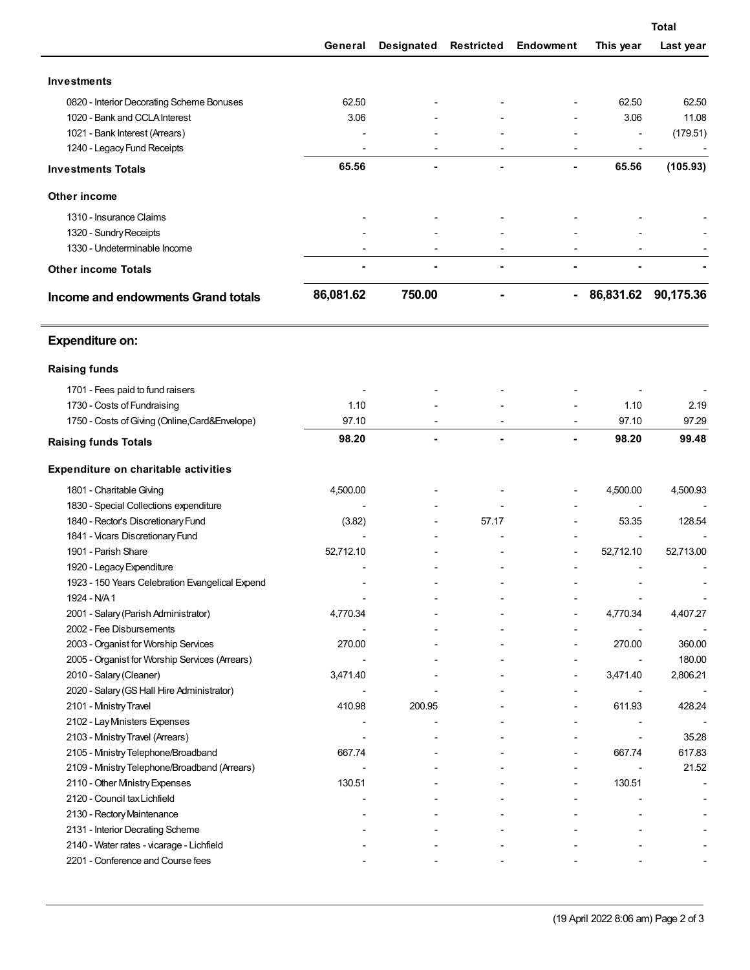|                                                                                        |           |                |                   |           |             | <b>Total</b> |  |  |
|----------------------------------------------------------------------------------------|-----------|----------------|-------------------|-----------|-------------|--------------|--|--|
|                                                                                        | General   | Designated     | <b>Restricted</b> | Endowment | This year   | Last year    |  |  |
| <b>Investments</b>                                                                     |           |                |                   |           |             |              |  |  |
| 0820 - Interior Decorating Scheme Bonuses                                              | 62.50     |                |                   |           | 62.50       | 62.50        |  |  |
| 1020 - Bank and CCLA Interest                                                          | 3.06      |                |                   |           | 3.06        | 11.08        |  |  |
| 1021 - Bank Interest (Arrears)                                                         |           |                |                   |           |             | (179.51)     |  |  |
| 1240 - Legacy Fund Receipts                                                            |           |                |                   |           |             |              |  |  |
| <b>Investments Totals</b>                                                              | 65.56     |                |                   | ٠         | 65.56       | (105.93)     |  |  |
| Other income                                                                           |           |                |                   |           |             |              |  |  |
|                                                                                        |           |                |                   |           |             |              |  |  |
| 1310 - Insurance Claims                                                                |           |                |                   |           |             |              |  |  |
| 1320 - Sundry Receipts                                                                 |           |                |                   |           |             |              |  |  |
| 1330 - Undeterminable Income                                                           |           |                |                   |           |             |              |  |  |
| <b>Other income Totals</b>                                                             |           |                |                   |           |             |              |  |  |
| Income and endowments Grand totals                                                     | 86,081.62 | 750.00         |                   |           | - 86,831.62 | 90,175.36    |  |  |
| <b>Expenditure on:</b>                                                                 |           |                |                   |           |             |              |  |  |
| <b>Raising funds</b>                                                                   |           |                |                   |           |             |              |  |  |
| 1701 - Fees paid to fund raisers                                                       |           |                |                   |           |             |              |  |  |
| 1730 - Costs of Fundraising                                                            | 1.10      |                |                   |           | 1.10        | 2.19         |  |  |
| 1750 - Costs of Giving (Online, Card& Envelope)                                        | 97.10     |                |                   |           | 97.10       | 97.29        |  |  |
| <b>Raising funds Totals</b>                                                            | 98.20     | $\blacksquare$ |                   |           | 98.20       | 99.48        |  |  |
| Expenditure on charitable activities                                                   |           |                |                   |           |             |              |  |  |
|                                                                                        |           |                |                   |           |             |              |  |  |
| 1801 - Charitable Giving                                                               | 4,500.00  |                |                   |           | 4,500.00    | 4,500.93     |  |  |
| 1830 - Special Collections expenditure                                                 |           |                |                   |           |             |              |  |  |
| 1840 - Rector's Discretionary Fund                                                     | (3.82)    |                | 57.17             |           | 53.35       | 128.54       |  |  |
| 1841 - Vicars Discretionary Fund                                                       |           |                |                   |           |             |              |  |  |
| 1901 - Parish Share                                                                    | 52,712.10 |                |                   |           | 52,712.10   | 52,713.00    |  |  |
| 1920 - Legacy Expenditure                                                              |           |                |                   |           |             |              |  |  |
| 1923 - 150 Years Celebration Evangelical Expend                                        |           |                |                   |           |             |              |  |  |
| 1924 - N/A1                                                                            |           |                |                   |           |             |              |  |  |
| 2001 - Salary (Parish Administrator)<br>2002 - Fee Disbursements                       | 4,770.34  |                |                   |           | 4,770.34    | 4,407.27     |  |  |
|                                                                                        | 270.00    |                |                   |           | 270.00      | 360.00       |  |  |
| 2003 - Organist for Worship Services<br>2005 - Organist for Worship Services (Arrears) |           |                |                   |           |             | 180.00       |  |  |
| 2010 - Salary (Cleaner)                                                                | 3,471.40  |                |                   |           | 3,471.40    | 2,806.21     |  |  |
| 2020 - Salary (GS Hall Hire Administrator)                                             |           |                |                   |           |             |              |  |  |
| 2101 - Ministry Travel                                                                 | 410.98    | 200.95         |                   |           | 611.93      | 428.24       |  |  |
| 2102 - Lay Mnisters Expenses                                                           |           |                |                   |           |             |              |  |  |
| 2103 - Ministry Travel (Arrears)                                                       |           |                |                   |           |             | 35.28        |  |  |
| 2105 - Ministry Telephone/Broadband                                                    | 667.74    |                |                   |           | 667.74      | 617.83       |  |  |
| 2109 - Ministry Telephone/Broadband (Arrears)                                          |           |                |                   |           |             | 21.52        |  |  |
| 2110 - Other Mnistry Expenses                                                          | 130.51    |                |                   |           | 130.51      |              |  |  |
| 2120 - Council tax Lichfield                                                           |           |                |                   |           |             |              |  |  |
| 2130 - Rectory Maintenance                                                             |           |                |                   |           |             |              |  |  |
| 2131 - Interior Decrating Scheme                                                       |           |                |                   |           |             |              |  |  |
| 2140 - Water rates - vicarage - Lichfield                                              |           |                |                   |           |             |              |  |  |
| 2201 - Conference and Course fees                                                      |           |                |                   |           |             |              |  |  |
|                                                                                        |           |                |                   |           |             |              |  |  |